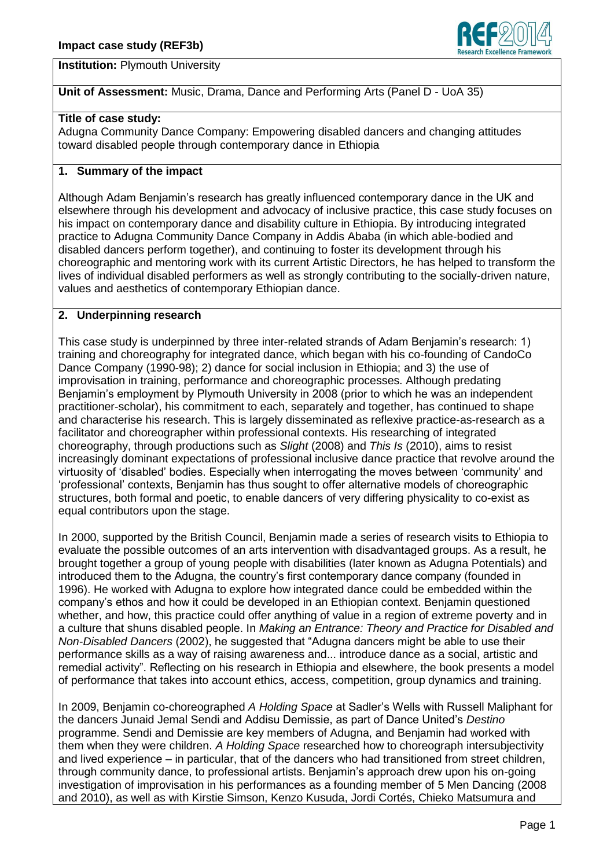

**Institution:** Plymouth University

# **Unit of Assessment:** Music, Drama, Dance and Performing Arts (Panel D - UoA 35)

### **Title of case study:**

Adugna Community Dance Company: Empowering disabled dancers and changing attitudes toward disabled people through contemporary dance in Ethiopia

## **1. Summary of the impact**

Although Adam Benjamin's research has greatly influenced contemporary dance in the UK and elsewhere through his development and advocacy of inclusive practice, this case study focuses on his impact on contemporary dance and disability culture in Ethiopia. By introducing integrated practice to Adugna Community Dance Company in Addis Ababa (in which able-bodied and disabled dancers perform together), and continuing to foster its development through his choreographic and mentoring work with its current Artistic Directors, he has helped to transform the lives of individual disabled performers as well as strongly contributing to the socially-driven nature, values and aesthetics of contemporary Ethiopian dance.

#### **2. Underpinning research**

This case study is underpinned by three inter-related strands of Adam Benjamin's research: 1) training and choreography for integrated dance, which began with his co-founding of CandoCo Dance Company (1990-98); 2) dance for social inclusion in Ethiopia; and 3) the use of improvisation in training, performance and choreographic processes. Although predating Benjamin's employment by Plymouth University in 2008 (prior to which he was an independent practitioner-scholar), his commitment to each, separately and together, has continued to shape and characterise his research. This is largely disseminated as reflexive practice-as-research as a facilitator and choreographer within professional contexts. His researching of integrated choreography, through productions such as *Slight* (2008) and *This Is* (2010), aims to resist increasingly dominant expectations of professional inclusive dance practice that revolve around the virtuosity of 'disabled' bodies. Especially when interrogating the moves between 'community' and 'professional' contexts, Benjamin has thus sought to offer alternative models of choreographic structures, both formal and poetic, to enable dancers of very differing physicality to co-exist as equal contributors upon the stage.

In 2000, supported by the British Council, Benjamin made a series of research visits to Ethiopia to evaluate the possible outcomes of an arts intervention with disadvantaged groups. As a result, he brought together a group of young people with disabilities (later known as Adugna Potentials) and introduced them to the Adugna, the country's first contemporary dance company (founded in 1996). He worked with Adugna to explore how integrated dance could be embedded within the company's ethos and how it could be developed in an Ethiopian context. Benjamin questioned whether, and how, this practice could offer anything of value in a region of extreme poverty and in a culture that shuns disabled people. In *Making an Entrance: Theory and Practice for Disabled and Non-Disabled Dancers* (2002), he suggested that "Adugna dancers might be able to use their performance skills as a way of raising awareness and... introduce dance as a social, artistic and remedial activity". Reflecting on his research in Ethiopia and elsewhere, the book presents a model of performance that takes into account ethics, access, competition, group dynamics and training.

In 2009, Benjamin co-choreographed *A Holding Space* at Sadler's Wells with Russell Maliphant for the dancers Junaid Jemal Sendi and Addisu Demissie, as part of Dance United's *Destino* programme. Sendi and Demissie are key members of Adugna, and Benjamin had worked with them when they were children. *A Holding Space* researched how to choreograph intersubjectivity and lived experience – in particular, that of the dancers who had transitioned from street children, through community dance, to professional artists. Benjamin's approach drew upon his on-going investigation of improvisation in his performances as a founding member of 5 Men Dancing (2008 and 2010), as well as with Kirstie Simson, Kenzo Kusuda, Jordi Cortés, Chieko Matsumura and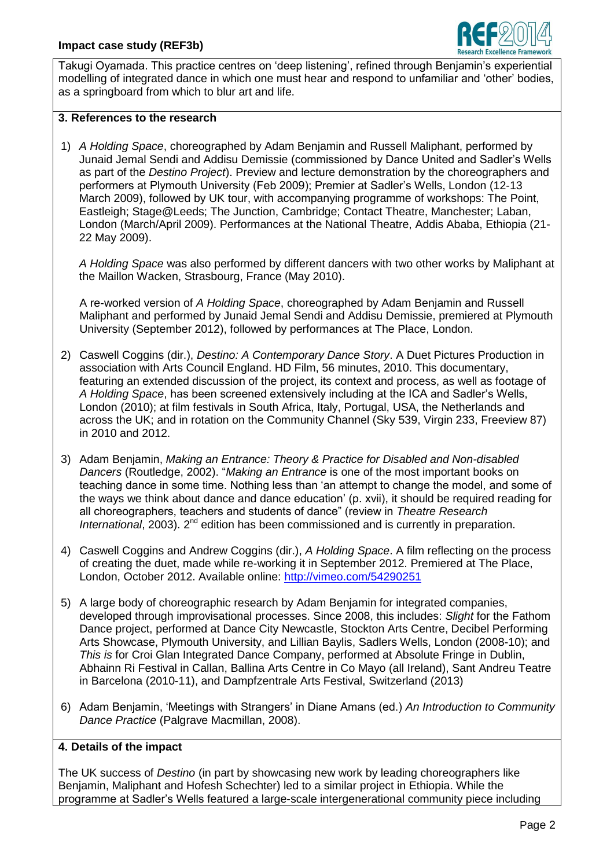

Takugi Oyamada. This practice centres on 'deep listening', refined through Benjamin's experiential modelling of integrated dance in which one must hear and respond to unfamiliar and 'other' bodies, as a springboard from which to blur art and life.

#### **3. References to the research**

1) *A Holding Space*, choreographed by Adam Benjamin and Russell Maliphant, performed by Junaid Jemal Sendi and Addisu Demissie (commissioned by Dance United and Sadler's Wells as part of the *Destino Project*). Preview and lecture demonstration by the choreographers and performers at Plymouth University (Feb 2009); Premier at Sadler's Wells, London (12-13 March 2009), followed by UK tour, with accompanying programme of workshops: The Point, Eastleigh; Stage@Leeds; The Junction, Cambridge; Contact Theatre, Manchester; Laban, London (March/April 2009). Performances at the National Theatre, Addis Ababa, Ethiopia (21- 22 May 2009).

*A Holding Space* was also performed by different dancers with two other works by Maliphant at the Maillon Wacken, Strasbourg, France (May 2010).

A re-worked version of *A Holding Space*, choreographed by Adam Benjamin and Russell Maliphant and performed by Junaid Jemal Sendi and Addisu Demissie, premiered at Plymouth University (September 2012), followed by performances at The Place, London.

- 2) Caswell Coggins (dir.), *Destino: A Contemporary Dance Story*. A Duet Pictures Production in association with Arts Council England. HD Film, 56 minutes, 2010. This documentary, featuring an extended discussion of the project, its context and process, as well as footage of *A Holding Space*, has been screened extensively including at the ICA and Sadler's Wells, London (2010); at film festivals in South Africa, Italy, Portugal, USA, the Netherlands and across the UK; and in rotation on the Community Channel (Sky 539, Virgin 233, Freeview 87) in 2010 and 2012.
- 3) Adam Benjamin, *Making an Entrance: Theory & Practice for Disabled and Non-disabled Dancers* (Routledge, 2002). "*Making an Entrance* is one of the most important books on teaching dance in some time. Nothing less than 'an attempt to change the model, and some of the ways we think about dance and dance education' (p. xvii), it should be required reading for all choreographers, teachers and students of dance" (review in *Theatre Research*  International, 2003). 2<sup>nd</sup> edition has been commissioned and is currently in preparation.
- 4) Caswell Coggins and Andrew Coggins (dir.), *A Holding Space*. A film reflecting on the process of creating the duet, made while re-working it in September 2012. Premiered at The Place, London, October 2012. Available online:<http://vimeo.com/54290251>
- 5) A large body of choreographic research by Adam Benjamin for integrated companies, developed through improvisational processes. Since 2008, this includes: *Slight* for the Fathom Dance project, performed at Dance City Newcastle, Stockton Arts Centre, Decibel Performing Arts Showcase, Plymouth University, and Lillian Baylis, Sadlers Wells, London (2008-10); and *This is* for Croi Glan Integrated Dance Company, performed at Absolute Fringe in Dublin, Abhainn Ri Festival in Callan, Ballina Arts Centre in Co Mayo (all Ireland), Sant Andreu Teatre in Barcelona (2010-11), and Dampfzentrale Arts Festival, Switzerland (2013)
- 6) Adam Benjamin, 'Meetings with Strangers' in Diane Amans (ed.) *An Introduction to Community Dance Practice* (Palgrave Macmillan, 2008).

## **4. Details of the impact**

The UK success of *Destino* (in part by showcasing new work by leading choreographers like Benjamin, Maliphant and Hofesh Schechter) led to a similar project in Ethiopia. While the programme at Sadler's Wells featured a large-scale intergenerational community piece including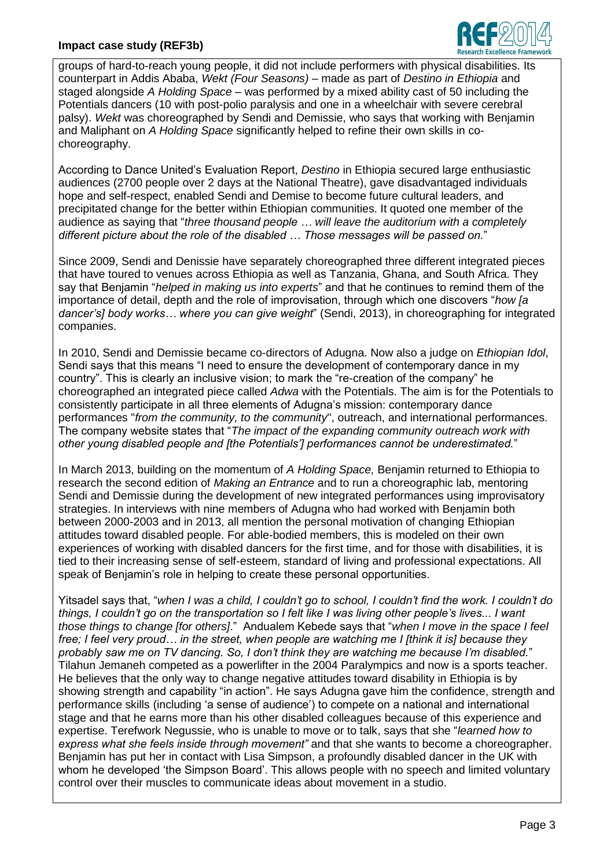## **Impact case study (REF3b)**



groups of hard-to-reach young people, it did not include performers with physical disabilities. Its counterpart in Addis Ababa, *Wekt (Four Seasons)* – made as part of *Destino in Ethiopia* and staged alongside *A Holding Space* – was performed by a mixed ability cast of 50 including the Potentials dancers (10 with post-polio paralysis and one in a wheelchair with severe cerebral palsy). *Wekt* was choreographed by Sendi and Demissie, who says that working with Benjamin and Maliphant on *A Holding Space* significantly helped to refine their own skills in cochoreography.

According to Dance United's Evaluation Report, *Destino* in Ethiopia secured large enthusiastic audiences (2700 people over 2 days at the National Theatre), gave disadvantaged individuals hope and self-respect, enabled Sendi and Demise to become future cultural leaders, and precipitated change for the better within Ethiopian communities. It quoted one member of the audience as saying that "*three thousand people … will leave the auditorium with a completely different picture about the role of the disabled … Those messages will be passed on.*"

Since 2009, Sendi and Denissie have separately choreographed three different integrated pieces that have toured to venues across Ethiopia as well as Tanzania, Ghana, and South Africa. They say that Benjamin "*helped in making us into experts*" and that he continues to remind them of the importance of detail, depth and the role of improvisation, through which one discovers "*how [a dancer's] body works… where you can give weight*" (Sendi, 2013), in choreographing for integrated companies.

In 2010, Sendi and Demissie became co-directors of Adugna. Now also a judge on *Ethiopian Idol*, Sendi says that this means "I need to ensure the development of contemporary dance in my country". This is clearly an inclusive vision; to mark the "re-creation of the company" he choreographed an integrated piece called *Adwa* with the Potentials. The aim is for the Potentials to consistently participate in all three elements of Adugna's mission: contemporary dance performances "*from the community, to the community*", outreach, and international performances. The company website states that "*The impact of the expanding community outreach work with other young disabled people and [the Potentials'] performances cannot be underestimated.*"

In March 2013, building on the momentum of *A Holding Space,* Benjamin returned to Ethiopia to research the second edition of *Making an Entrance* and to run a choreographic lab, mentoring Sendi and Demissie during the development of new integrated performances using improvisatory strategies. In interviews with nine members of Adugna who had worked with Benjamin both between 2000-2003 and in 2013, all mention the personal motivation of changing Ethiopian attitudes toward disabled people. For able-bodied members, this is modeled on their own experiences of working with disabled dancers for the first time, and for those with disabilities, it is tied to their increasing sense of self-esteem, standard of living and professional expectations. All speak of Benjamin's role in helping to create these personal opportunities.

Yitsadel says that, "*when I was a child, I couldn't go to school, I couldn't find the work. I couldn't do things, I couldn't go on the transportation so I felt like I was living other people's lives... I want those things to change [for others]*." Andualem Kebede says that "*when I move in the space I feel free; I feel very proud… in the street, when people are watching me I [think it is] because they probably saw me on TV dancing. So, I don't think they are watching me because I'm disabled.*" Tilahun Jemaneh competed as a powerlifter in the 2004 Paralympics and now is a sports teacher. He believes that the only way to change negative attitudes toward disability in Ethiopia is by showing strength and capability "in action". He says Adugna gave him the confidence, strength and performance skills (including 'a sense of audience') to compete on a national and international stage and that he earns more than his other disabled colleagues because of this experience and expertise. Terefwork Negussie, who is unable to move or to talk, says that she "*learned how to express what she feels inside through movement"* and that she wants to become a choreographer. Benjamin has put her in contact with Lisa Simpson, a profoundly disabled dancer in the UK with whom he developed 'the Simpson Board'. This allows people with no speech and limited voluntary control over their muscles to communicate ideas about movement in a studio.